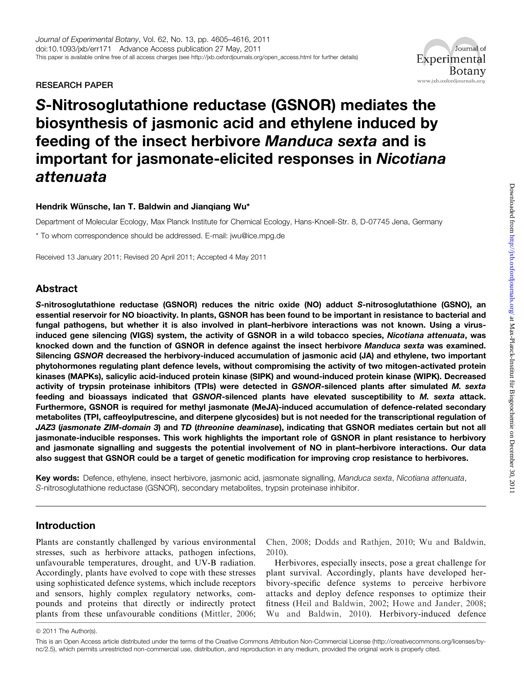RESEARCH PAPER

## Journal of Experimental **Botany** www.jxb.oxfordjournals.org

# S-Nitrosoglutathione reductase (GSNOR) mediates the biosynthesis of jasmonic acid and ethylene induced by feeding of the insect herbivore Manduca sexta and is important for jasmonate-elicited responses in Nicotiana attenuata

## Hendrik Wünsche, Ian T. Baldwin and Jianqiang Wu\*

Department of Molecular Ecology, Max Planck Institute for Chemical Ecology, Hans-Knoell-Str. 8, D-07745 Jena, Germany

\* To whom correspondence should be addressed. E-mail: jwu@ice.mpg.de

Received 13 January 2011; Revised 20 April 2011; Accepted 4 May 2011

# Abstract

S-nitrosoglutathione reductase (GSNOR) reduces the nitric oxide (NO) adduct S-nitrosoglutathione (GSNO), an essential reservoir for NO bioactivity. In plants, GSNOR has been found to be important in resistance to bacterial and fungal pathogens, but whether it is also involved in plant–herbivore interactions was not known. Using a virusinduced gene silencing (VIGS) system, the activity of GSNOR in a wild tobacco species, Nicotiana attenuata, was knocked down and the function of GSNOR in defence against the insect herbivore Manduca sexta was examined. Silencing GSNOR decreased the herbivory-induced accumulation of jasmonic acid (JA) and ethylene, two important phytohormones regulating plant defence levels, without compromising the activity of two mitogen-activated protein kinases (MAPKs), salicylic acid-induced protein kinase (SIPK) and wound-induced protein kinase (WIPK). Decreased activity of trypsin proteinase inhibitors (TPIs) were detected in GSNOR-silenced plants after simulated M. sexta feeding and bioassays indicated that GSNOR-silenced plants have elevated susceptibility to M. sexta attack. Furthermore, GSNOR is required for methyl jasmonate (MeJA)-induced accumulation of defence-related secondary metabolites (TPI, caffeoylputrescine, and diterpene glycosides) but is not needed for the transcriptional regulation of JAZ3 (jasmonate ZIM-domain 3) and TD (threonine deaminase), indicating that GSNOR mediates certain but not all jasmonate-inducible responses. This work highlights the important role of GSNOR in plant resistance to herbivory and jasmonate signalling and suggests the potential involvement of NO in plant–herbivore interactions. Our data also suggest that GSNOR could be a target of genetic modification for improving crop resistance to herbivores.

Key words: Defence, ethylene, insect herbivore, jasmonic acid, jasmonate signalling, Manduca sexta, Nicotiana attenuata, S-nitrosoglutathione reductase (GSNOR), secondary metabolites, trypsin proteinase inhibitor.

# Introduction

Plants are constantly challenged by various environmental stresses, such as herbivore attacks, pathogen infections, unfavourable temperatures, drought, and UV-B radiation. Accordingly, plants have evolved to cope with these stresses using sophisticated defence systems, which include receptors and sensors, highly complex regulatory networks, compounds and proteins that directly or indirectly protect plants from these unfavourable conditions ([Mittler, 2006](#page-10-0);

[Chen, 2008;](#page-9-0) [Dodds and Rathjen, 2010](#page-9-0); [Wu and Baldwin,](#page-11-0) [2010\)](#page-11-0).

Herbivores, especially insects, pose a great challenge for plant survival. Accordingly, plants have developed herbivory-specific defence systems to perceive herbivore attacks and deploy defence responses to optimize their fitness [\(Heil and Baldwin, 2002;](#page-10-0) [Howe and Jander, 2008](#page-10-0); [Wu and Baldwin, 2010](#page-11-0)). Herbivory-induced defence

 $© 2011$  The Author(s).

This is an Open Access article distributed under the terms of the Creative Commons Attribution Non-Commercial License (http://creativecommons.org/licenses/bync/2.5), which permits unrestricted non-commercial use, distribution, and reproduction in any medium, provided the original work is properly cited.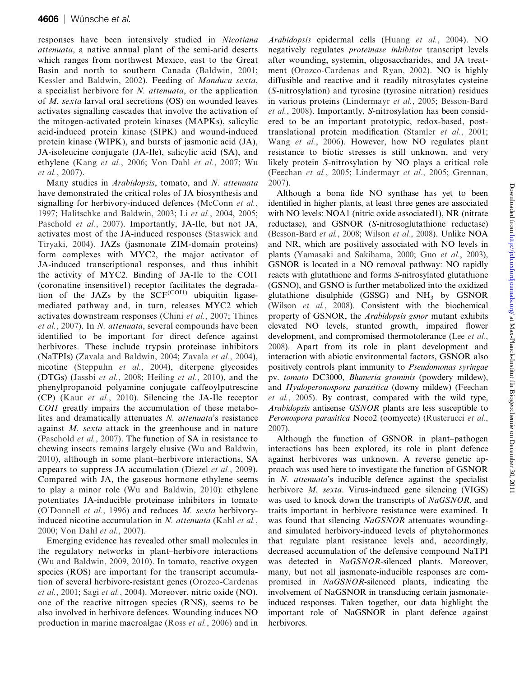responses have been intensively studied in Nicotiana attenuata, a native annual plant of the semi-arid deserts which ranges from northwest Mexico, east to the Great Basin and north to southern Canada ([Baldwin, 2001;](#page-9-0) [Kessler and Baldwin, 2002\)](#page-10-0). Feeding of Manduca sexta, a specialist herbivore for N. attenuata, or the application of M. sexta larval oral secretions (OS) on wounded leaves activates signalling cascades that involve the activation of the mitogen-activated protein kinases (MAPKs), salicylic acid-induced protein kinase (SIPK) and wound-induced protein kinase (WIPK), and bursts of jasmonic acid (JA), JA-isoleucine conjugate (JA-Ile), salicylic acid (SA), and ethylene (Kang et al.[, 2006](#page-10-0); [Von Dahl](#page-11-0) et al., 2007; [Wu](#page-11-0) et al.[, 2007\)](#page-11-0).

Many studies in Arabidopsis, tomato, and N. attenuata have demonstrated the critical roles of JA biosynthesis and signalling for herbivory-induced defences ([McConn](#page-10-0) et al., [1997;](#page-10-0) [Halitschke and Baldwin, 2003;](#page-9-0) Li et al.[, 2004,](#page-10-0) [2005;](#page-10-0) [Paschold](#page-11-0) et al., 2007). Importantly, JA-Ile, but not JA, activates most of the JA-induced responses [\(Staswick and](#page-11-0) [Tiryaki, 2004](#page-11-0)). JAZs (jasmonate ZIM-domain proteins) form complexes with MYC2, the major activator of JA-induced transcriptional responses, and thus inhibit the activity of MYC2. Binding of JA-Ile to the COI1 (coronatine insensitive1) receptor facilitates the degradation of the JAZs by the  $SCF<sup>(COII)</sup>$  ubiquitin ligasemediated pathway and, in turn, releases MYC2 which activates downstream responses (Chini et al.[, 2007](#page-9-0); [Thines](#page-11-0) et al.[, 2007\)](#page-11-0). In N. attenuata, several compounds have been identified to be important for direct defence against herbivores. These include trypsin proteinase inhibitors (NaTPIs) [\(Zavala and Baldwin, 2004](#page-11-0); [Zavala](#page-11-0) et al., 2004), nicotine ([Steppuhn](#page-11-0) et al., 2004), diterpene glycosides (DTGs) (Jassbi et al.[, 2008](#page-10-0); [Heiling](#page-10-0) et al., 2010), and the phenylpropanoid–polyamine conjugate caffeoylputrescine (CP) (Kaur et al.[, 2010](#page-10-0)). Silencing the JA-Ile receptor COI1 greatly impairs the accumulation of these metabolites and dramatically attenuates N. attenuata's resistance against M. sexta attack in the greenhouse and in nature ([Paschold](#page-11-0) et al., 2007). The function of SA in resistance to chewing insects remains largely elusive [\(Wu and Baldwin,](#page-11-0) [2010\)](#page-11-0), although in some plant–herbivore interactions, SA appears to suppress JA accumulation ([Diezel](#page-9-0) et al., 2009). Compared with JA, the gaseous hormone ethylene seems to play a minor role [\(Wu and Baldwin, 2010](#page-11-0)): ethylene potentiates JA-inducible proteinase inhibitors in tomato ([O'Donnell](#page-10-0) et al., 1996) and reduces M. sexta herbivory-induced nicotine accumulation in N. attenuata [\(Kahl](#page-10-0) et al., [2000;](#page-10-0) [Von Dahl](#page-11-0) et al., 2007).

Emerging evidence has revealed other small molecules in the regulatory networks in plant–herbivore interactions ([Wu and Baldwin, 2009](#page-11-0), [2010](#page-11-0)). In tomato, reactive oxygen species (ROS) are important for the transcript accumulation of several herbivore-resistant genes [\(Orozco-Cardenas](#page-10-0) et al.[, 2001;](#page-10-0) Sagi et al.[, 2004\)](#page-11-0). Moreover, nitric oxide (NO), one of the reactive nitrogen species (RNS), seems to be also involved in herbivore defences. Wounding induces NO production in marine macroalgae (Ross et al.[, 2006\)](#page-11-0) and in

Arabidopsis epidermal cells (Huang et al.[, 2004](#page-10-0)). NO negatively regulates proteinase inhibitor transcript levels after wounding, systemin, oligosaccharides, and JA treatment ([Orozco-Cardenas and Ryan, 2002\)](#page-11-0). NO is highly diffusible and reactive and it readily nitrosylates cysteine (S-nitrosylation) and tyrosine (tyrosine nitration) residues in various proteins ([Lindermayr](#page-10-0) et al., 2005; [Besson-Bard](#page-9-0) et al.[, 2008](#page-9-0)). Importantly, S-nitrosylation has been considered to be an important prototypic, redox-based, posttranslational protein modification [\(Stamler](#page-11-0) et al., 2001; Wang et al.[, 2006\)](#page-11-0). However, how NO regulates plant resistance to biotic stresses is still unknown, and very likely protein S-nitrosylation by NO plays a critical role ([Feechan](#page-9-0) et al., 2005; [Lindermayr](#page-10-0) et al., 2005; [Grennan,](#page-9-0) [2007\)](#page-9-0).

Although a bona fide NO synthase has yet to been identified in higher plants, at least three genes are associated with NO levels: NOA1 (nitric oxide associated1), NR (nitrate reductase), and GSNOR (S-nitrosoglutathione reductase) ([Besson-Bard](#page-9-0) et al., 2008; [Wilson](#page-11-0) et al., 2008). Unlike NOA and NR, which are positively associated with NO levels in plants ([Yamasaki and Sakihama, 2000](#page-11-0); Guo et al.[, 2003](#page-9-0)), GSNOR is located in a NO removal pathway: NO rapidly reacts with glutathione and forms S-nitrosylated glutathione (GSNO), and GSNO is further metabolized into the oxidized glutathione disulphide  $(GSSG)$  and  $NH<sub>3</sub>$  by  $GSNOR$ (Wilson et al.[, 2008\)](#page-11-0). Consistent with the biochemical property of GSNOR, the Arabidopsis gsnor mutant exhibits elevated NO levels, stunted growth, impaired flower development, and compromised thermotolerance (Lee [et al.](#page-10-0), [2008\)](#page-10-0). Apart from its role in plant development and interaction with abiotic environmental factors, GSNOR also positively controls plant immunity to Pseudomonas syringae pv. tomato DC3000, Blumeria graminis (powdery mildew), and Hyaloperonospora parasitica (downy mildew) [\(Feechan](#page-9-0) et al.[, 2005\)](#page-9-0). By contrast, compared with the wild type, Arabidopsis antisense GSNOR plants are less susceptible to Peronospora parasitica Noco2 (oomycete) ([Rusterucci](#page-11-0) et al., [2007\)](#page-11-0).

Although the function of GSNOR in plant–pathogen interactions has been explored, its role in plant defence against herbivores was unknown. A reverse genetic approach was used here to investigate the function of GSNOR in N. attenuata's inducible defence against the specialist herbivore *M. sexta*. Virus-induced gene silencing (VIGS) was used to knock down the transcripts of NaGSNOR, and traits important in herbivore resistance were examined. It was found that silencing NaGSNOR attenuates woundingand simulated herbivory-induced levels of phytohormones that regulate plant resistance levels and, accordingly, decreased accumulation of the defensive compound NaTPI was detected in NaGSNOR-silenced plants. Moreover, many, but not all jasmonate-inducible responses are compromised in NaGSNOR-silenced plants, indicating the involvement of NaGSNOR in transducing certain jasmonateinduced responses. Taken together, our data highlight the important role of NaGSNOR in plant defence against herbivores.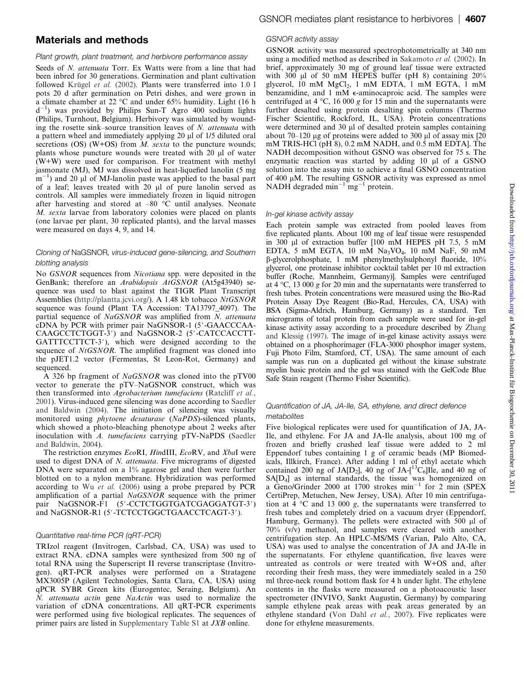## Materials and methods

#### Plant growth, plant treatment, and herbivore performance assay

Seeds of N. attenuata Torr. Ex Watts were from a line that had been inbred for 30 generations. Germination and plant cultivation followed Krügel et al. (2002). Plants were transferred into  $1.0\ 1$ pots 20 d after germination on Petri dishes, and were grown in a climate chamber at 22  $\degree$ C and under 65% humidity. Light (16 h  $d^{-1}$ ) was provided by Philips Sun-T Agro 400 sodium lights (Philips, Turnhout, Belgium). Herbivory was simulated by wounding the rosette sink–source transition leaves of N. attenuata with a pattern wheel and immediately applying 20 µl of 1/5 diluted oral secretions (OS) (W+OS) from  $M$ . sexta to the puncture wounds; plants whose puncture wounds were treated with  $20 \mu$  of water (W+W) were used for comparison. For treatment with methyl jasmonate (MJ), MJ was dissolved in heat-liquefied lanolin (5 mg  $(m^{-1})$  and 20 µl of MJ-lanolin paste was applied to the basal part of a leaf; leaves treated with  $20 \mu l$  of pure lanolin served as controls. All samples were immediately frozen in liquid nitrogen after harvesting and stored at  $-80$  °C until analyses. Neonate M. sexta larvae from laboratory colonies were placed on plants (one larvae per plant, 30 replicated plants), and the larval masses were measured on days 4, 9, and 14.

#### Cloning of NaGSNOR, virus-induced gene-silencing, and Southern blotting analysis

No GSNOR sequences from Nicotiana spp. were deposited in the GenBank; therefore an Arabidopsis AtGSNOR (At5g43940) sequence was used to blast against the TIGR Plant Transcript Assemblies [\(http://plantta.jcvi.org/](http://plantta.jcvi.org/)). A 1.48 kb tobacco NtGSNOR sequence was found (Plant TA Accession: TA13797\_4097). The partial sequence of NaGSNOR was amplified from N. attenuata  $cDNA$  by PCR with primer pair NaGNSOR-1 (5 $'-GAACCCAA-$ CAAGCCTCTGGT-3') and NaGSNOR-2 (5'-CATCCACCTT-GATTTCCTTCT-3'), which were designed according to the sequence of NtGSNOR. The amplified fragment was cloned into the pJET1.2 vector (Fermentas, St Leon-Rot, Germany) and sequenced.

A 326 bp fragment of NaGSNOR was cloned into the pTV00 vector to generate the pTV–NaGSNOR construct, which was then transformed into Agrobacterium tumefaciens [\(Ratcliff](#page-11-0) et al., [2001](#page-11-0)). Virus-induced gene silencing was done according to [Saedler](#page-11-0) [and Baldwin \(2004\).](#page-11-0) The initiation of silencing was visually monitored using phytoene desaturase (NaPDS)-silenced plants, which showed a photo-bleaching phenotype about 2 weeks after inoculation with A. tumefaciens carrying pTV-NaPDS [\(Saedler](#page-11-0) [and Baldwin, 2004\)](#page-11-0).

The restriction enzymes EcoRI, HindIII, EcoRV, and XbaI were used to digest DNA of N. attenuata. Five micrograms of digested DNA were separated on a 1% agarose gel and then were further blotted on to a nylon membrane. Hybridization was performed according to Wu et al. [\(2006\)](#page-11-0) using a probe prepared by PCR amplification of a partial NaGSNOR sequence with the primer pair NaGSNOR-F1 (5'-CCTCTGGTGATCGAGGATGT-3') and NaGSNOR-R1 (5'-TCTCCTGGCTGAACCTCAGT-3').

#### Quantitative real-time PCR (qRT-PCR)

TRIzol reagent (Invitrogen, Carlsbad, CA, USA) was used to extract RNA. cDNA samples were synthesized from 500 ng of total RNA using the Superscript II reverse transcriptase (Invitrogen). qRT-PCR analyses were performed on a Stratagene MX3005P (Agilent Technologies, Santa Clara, CA, USA) using qPCR SYBR Green kits (Eurogentec, Seraing, Belgium). An N. attenuata actin gene NaActin was used to normalize the variation of cDNA concentrations. All qRT-PCR experiments were performed using five biological replicates. The sequences of primer pairs are listed in [Supplementary Table S1](http://jxb.oxfordjournals.org/cgi/content/full/err171/DC1) at JXB online.

#### GSNOR activity assay

GSNOR activity was measured spectrophotometrically at 340 nm using a modified method as described in [Sakamoto](#page-11-0) et al. (2002). In brief, approximately 30 mg of ground leaf tissue were extracted with 300  $\mu$ l of 50 mM HEPES buffer (pH 8) containing 20% glycerol,  $10$  mM  $MgCl<sub>2</sub>$ ,  $1$  mM EDTA,  $1$  mM EGTA,  $1$  mM benzamidine, and 1 mM *e*-aminocaproic acid. The samples were centrifuged at 4  $\degree$ C, 16 000 g for 15 min and the supernatants were further desalted using protein desalting spin columns (Thermo Fischer Scientific, Rockford, IL, USA). Protein concentrations were determined and 30  $\mu$ l of desalted protein samples containing about 70–120 µg of proteins were added to 300 µl of assay mix  $[20]$ mM TRIS-HCl (pH 8), 0.2 mM NADH, and 0.5 mM EDTA]. The NADH decomposition without GSNO was observed for 75 s. The enzymatic reaction was started by adding 10 µl of a GSNO solution into the assay mix to achieve a final GSNO concentration of  $400 \mu M$ . The resulting GSNOR activity was expressed as nmol NADH degraded min<sup>-1</sup> mg<sup>-1</sup> protein.

#### In-gel kinase activity assay

Each protein sample was extracted from pooled leaves from five replicated plants. About 100 mg of leaf tissue were resuspended in 300 µl of extraction buffer [100 mM HEPES pH 7.5, 5 mM EDTA, 5 mM EGTA, 10 mM  $Na<sub>3</sub>VO<sub>4</sub>$ , 10 mM NaF, 50 mM b-glycerolphosphate, 1 mM phenylmethylsulphonyl fluoride, 10% glycerol, one proteinase inhibitor cocktail tablet per 10 ml extraction buffer (Roche, Mannheim, Germany)]. Samples were centrifuged at 4  $\degree$ C, 13 000 g for 20 min and the supernatants were transferred to fresh tubes. Protein concentrations were measured using the Bio-Rad Protein Assay Dye Reagent (Bio-Rad, Hercules, CA, USA) with BSA (Sigma-Aldrich, Hamburg, Germany) as a standard. Ten micrograms of total protein from each sample were used for in-gel kinase activity assay according to a procedure described by [Zhang](#page-11-0) [and Klessig \(1997\)](#page-11-0). The image of in-gel kinase activity assays were obtained on a phosphorimager (FLA-3000 phosphor imager system, Fuji Photo Film, Stamford, CT, USA). The same amount of each sample was run on a duplicated gel without the kinase substrate myelin basic protein and the gel was stained with the GelCode Blue Safe Stain reagent (Thermo Fisher Scientific).

#### Quantification of JA, JA-Ile, SA, ethylene, and direct defence metabolites

Five biological replicates were used for quantification of JA, JA-Ile, and ethylene. For JA and JA-Ile analysis, about 100 mg of frozen and briefly crushed leaf tissue were added to 2 ml Eppendorf tubes containing 1 g of ceramic beads (MP Biomedicals, Illkirch, France). After adding 1 ml of ethyl acetate which contained 200 ng of JA[D<sub>2</sub>], 40 ng of JA- $[^{13}C_6]$ Ile, and 40 ng of SA[D4] as internal standards, the tissue was homogenized on a Geno/Grinder 2000 at 1700 strokes  $min^{-1}$  for 2 min (SPEX CertiPrep, Metuchen, New Jersey, USA). After 10 min centrifugation at  $4 \text{ }^{\circ}$ C and 13 000 g, the supernatants were transferred to fresh tubes and completely dried on a vacuum dryer (Eppendorf, Hamburg, Germany). The pellets were extracted with 500  $\mu$ l of 70% (v/v) methanol, and samples were cleared with another centrifugation step. An HPLC-MS/MS (Varian, Palo Alto, CA, USA) was used to analyse the concentration of JA and JA-Ile in the supernatants. For ethylene quantification, five leaves were untreated as controls or were treated with W+OS and, after recording their fresh mass, they were immediately sealed in a 250 ml three-neck round bottom flask for 4 h under light. The ethylene contents in the flasks were measured on a photoacoustic laser spectrometer (INVIVO, Sankt Augustin, Germany) by comparing sample ethylene peak areas with peak areas generated by an ethylene standard [\(Von Dahl](#page-11-0) et al., 2007). Five replicates were done for ethylene measurements.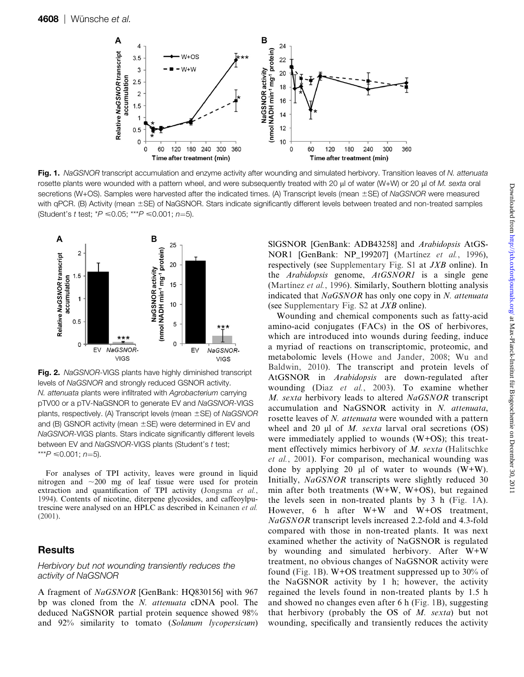

Fig. 1. NaGSNOR transcript accumulation and enzyme activity after wounding and simulated herbivory. Transition leaves of N. attenuata rosette plants were wounded with a pattern wheel, and were subsequently treated with 20  $\mu$ l of water (W+W) or 20  $\mu$ l of M. sexta oral secretions (W+OS). Samples were harvested after the indicated times. (A) Transcript levels (mean ±SE) of NaGSNOR were measured with qPCR. (B) Activity (mean ±SE) of NaGSNOR. Stars indicate significantly different levels between treated and non-treated samples (Student's t test;  $*P \le 0.05$ ;  $***P \le 0.001$ ; n=5).



Fig. 2. NaGSNOR-VIGS plants have highly diminished transcript levels of NaGSNOR and strongly reduced GSNOR activity. N. attenuata plants were infiltrated with Agrobacterium carrying pTV00 or a pTV-NaGSNOR to generate EV and NaGSNOR-VIGS plants, respectively. (A) Transcript levels (mean  $\pm$ SE) of NaGSNOR and (B) GSNOR activity (mean  $\pm$  SE) were determined in EV and NaGSNOR-VIGS plants. Stars indicate significantly different levels between EV and NaGSNOR-VIGS plants (Student's t test; \*\*\* $P \le 0.001$ ; n=5).

For analyses of TPI activity, leaves were ground in liquid nitrogen and  $\sim$ 200 mg of leaf tissue were used for protein extraction and quantification of TPI activity ([Jongsma](#page-10-0) et al., [1994](#page-10-0)). Contents of nicotine, diterpene glycosides, and caffeoylputrescine were analysed on an HPLC as described in [Keinanen](#page-10-0) et al. [\(2001\)](#page-10-0).

# **Results**

#### Herbivory but not wounding transiently reduces the activity of NaGSNOR

A fragment of NaGSNOR [GenBank: HQ830156] with 967 bp was cloned from the N. attenuata cDNA pool. The deduced NaGSNOR partial protein sequence showed 98% and 92% similarity to tomato (Solanum lycopersicum) SlGSNOR [GenBank: ADB43258] and Arabidopsis AtGS-NOR1 [GenBank: NP 199207] (Martínez et al., 1996), respectively (see [Supplementary Fig. S1](http://jxb.oxfordjournals.org/cgi/content/full/err171/DC1) at JXB online). In the Arabidopsis genome, AtGSNOR1 is a single gene (Martínez et al., 1996). Similarly, Southern blotting analysis indicated that NaGSNOR has only one copy in N. attenuata (see [Supplementary Fig. S2](http://jxb.oxfordjournals.org/cgi/content/full/err171/DC1) at JXB online).

Wounding and chemical components such as fatty-acid amino-acid conjugates (FACs) in the OS of herbivores, which are introduced into wounds during feeding, induce a myriad of reactions on transcriptomic, proteomic, and metabolomic levels ([Howe and Jander, 2008;](#page-10-0) [Wu and](#page-11-0) [Baldwin, 2010\)](#page-11-0). The transcript and protein levels of AtGSNOR in Arabidopsis are down-regulated after wounding (Diaz et al.[, 2003\)](#page-9-0). To examine whether M. sexta herbivory leads to altered NaGSNOR transcript accumulation and NaGSNOR activity in N. attenuata, rosette leaves of N. *attenuata* were wounded with a pattern wheel and 20  $\mu$ l of *M. sexta* larval oral secretions (OS) were immediately applied to wounds (W+OS); this treatment effectively mimics herbivory of M. sexta ([Halitschke](#page-9-0) et al.[, 2001\)](#page-9-0). For comparison, mechanical wounding was done by applying 20  $\mu$ l of water to wounds (W+W). Initially, NaGSNOR transcripts were slightly reduced 30 min after both treatments (W+W, W+OS), but regained the levels seen in non-treated plants by 3 h (Fig. 1A). However, 6 h after W+W and W+OS treatment, NaGSNOR transcript levels increased 2.2-fold and 4.3-fold compared with those in non-treated plants. It was next examined whether the activity of NaGSNOR is regulated by wounding and simulated herbivory. After W+W treatment, no obvious changes of NaGSNOR activity were found (Fig. 1B). W+OS treatment suppressed up to 30% of the NaGSNOR activity by 1 h; however, the activity regained the levels found in non-treated plants by 1.5 h and showed no changes even after 6 h (Fig. 1B), suggesting that herbivory (probably the OS of  $M$ . sexta) but not wounding, specifically and transiently reduces the activity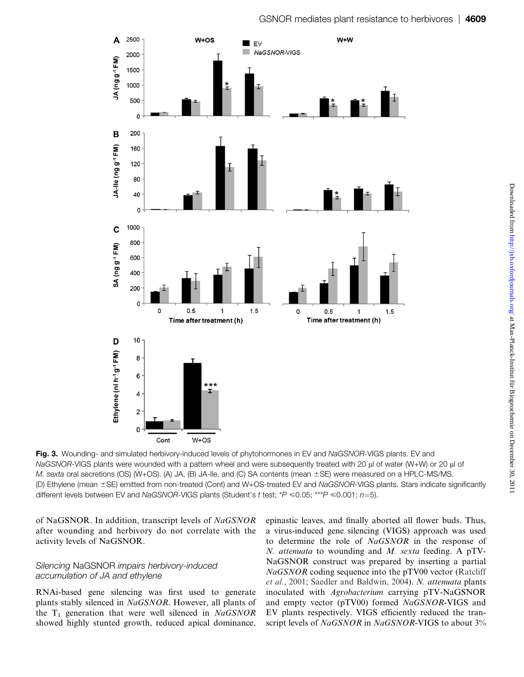

Fig. 3. Wounding- and simulated herbivory-induced levels of phytohormones in EV and NaGSNOR-VIGS plants. EV and NaGSNOR-VIGS plants were wounded with a pattern wheel and were subsequently treated with 20 ul of water (W+W) or 20 ul of M. sexta oral secretions (OS) (W+OS). (A) JA, (B) JA-Ile, and (C) SA contents (mean  $\pm$ SE) were measured on a HPLC-MS/MS. (D) Ethylene (mean ±SE) emitted from non-treated (Cont) and W+OS-treated EV and NaGSNOR-VIGS plants. Stars indicate significantly different levels between EV and NaGSNOR-VIGS plants (Student's t test;  $*P \le 0.05$ ; \*\*\* $P \le 0.001$ ;  $n=5$ ).

of NaGSNOR. In addition, transcript levels of NaGSNOR after wounding and herbivory do not correlate with the activity levels of NaGSNOR.

#### Silencing NaGSNOR impairs herbivory-induced accumulation of JA and ethylene

RNAi-based gene silencing was first used to generate plants stably silenced in NaGSNOR. However, all plants of the  $T_1$  generation that were well silenced in NaGSNOR showed highly stunted growth, reduced apical dominance,

epinastic leaves, and finally aborted all flower buds. Thus, a virus-induced gene silencing (VIGS) approach was used to determine the role of NaGSNOR in the response of N. attenuata to wounding and M. sexta feeding. A pTV-NaGSNOR construct was prepared by inserting a partial NaGSNOR coding sequence into the pTV00 vector [\(Ratcliff](#page-11-0) et al.[, 2001;](#page-11-0) [Saedler and Baldwin, 2004](#page-11-0)). N. attenuata plants inoculated with Agrobacterium carrying pTV-NaGSNOR and empty vector (pTV00) formed NaGSNOR-VIGS and EV plants respectively. VIGS efficiently reduced the transcript levels of NaGSNOR in NaGSNOR-VIGS to about 3%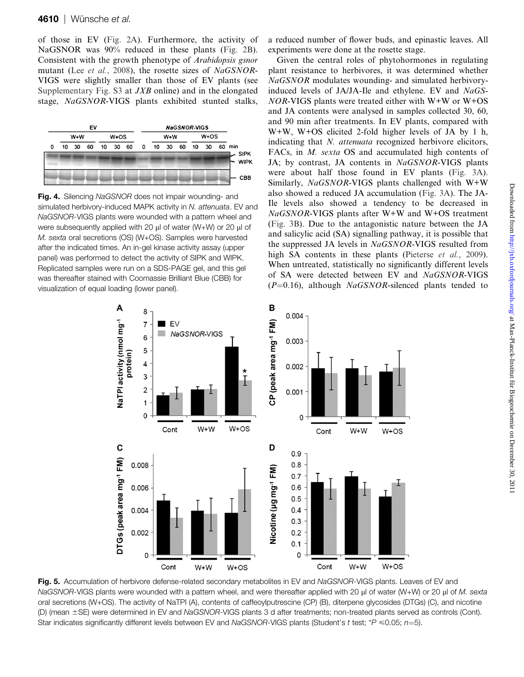of those in EV (Fig. 2A). Furthermore, the activity of NaGSNOR was 90% reduced in these plants (Fig. 2B). Consistent with the growth phenotype of Arabidopsis gsnor mutant (Lee et al.[, 2008](#page-10-0)), the rosette sizes of NaGSNOR-VIGS were slightly smaller than those of EV plants (see [Supplementary Fig. S3](http://jxb.oxfordjournals.org/cgi/content/full/err171/DC1) at JXB online) and in the elongated stage, NaGSNOR-VIGS plants exhibited stunted stalks,



Fig. 4. Silencing NaGSNOR does not impair wounding- and simulated herbivory-induced MAPK activity in N. attenuata. EV and NaGSNOR-VIGS plants were wounded with a pattern wheel and were subsequently applied with 20  $\mu$ l of water (W+W) or 20  $\mu$ l of M. sexta oral secretions (OS) (W+OS). Samples were harvested after the indicated times. An in-gel kinase activity assay (upper panel) was performed to detect the activity of SIPK and WIPK. Replicated samples were run on a SDS-PAGE gel, and this gel was thereafter stained with Coomassie Brilliant Blue (CBB) for visualization of equal loading (lower panel).

a reduced number of flower buds, and epinastic leaves. All experiments were done at the rosette stage.

Given the central roles of phytohormones in regulating plant resistance to herbivores, it was determined whether NaGSNOR modulates wounding- and simulated herbivoryinduced levels of JA/JA-Ile and ethylene. EV and NaGS- $NOR-VIGS$  plants were treated either with  $W+W$  or  $W+OS$ and JA contents were analysed in samples collected 30, 60, and 90 min after treatments. In EV plants, compared with W+W, W+OS elicited 2-fold higher levels of JA by 1 h, indicating that *N. attenuata* recognized herbivore elicitors, FACs, in M. sexta OS and accumulated high contents of JA; by contrast, JA contents in NaGSNOR-VIGS plants were about half those found in EV plants (Fig. 3A). Similarly,  $NaGSNOR-VIGS$  plants challenged with W+W also showed a reduced JA accumulation (Fig. 3A). The JA-Ile levels also showed a tendency to be decreased in NaGSNOR-VIGS plants after W+W and W+OS treatment (Fig. 3B). Due to the antagonistic nature between the JA and salicylic acid (SA) signalling pathway, it is possible that the suppressed JA levels in NaGSNOR-VIGS resulted from high SA contents in these plants ([Pieterse](#page-11-0) *et al.*, 2009). When untreated, statistically no significantly different levels of SA were detected between EV and NaGSNOR-VIGS  $(P=0.16)$ , although *NaGSNOR*-silenced plants tended to



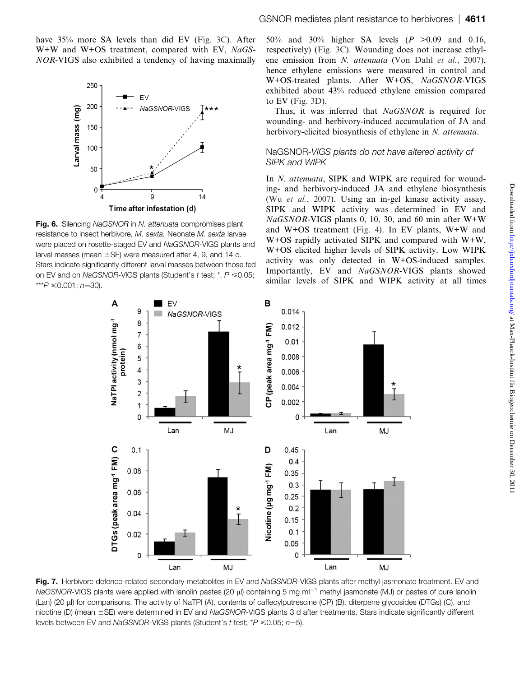have 35% more SA levels than did EV (Fig. 3C). After W+W and W+OS treatment, compared with EV, NaGS-NOR-VIGS also exhibited a tendency of having maximally



Fig. 6. Silencing NaGSNOR in N. attenuata compromises plant resistance to insect herbivore, M. sexta. Neonate M. sexta larvae were placed on rosette-staged EV and NaGSNOR-VIGS plants and larval masses (mean  $\pm$ SE) were measured after 4, 9, and 14 d. Stars indicate significantly different larval masses between those fed on EV and on NaGSNOR-VIGS plants (Student's t test;  $*$ ,  $P \le 0.05$ ; \*\*\* $P \le 0.001; n = 30$ ).

50% and 30% higher SA levels (P >0.09 and 0.16, respectively) (Fig. 3C). Wounding does not increase ethyl-ene emission from N. attenuata [\(Von Dahl](#page-11-0) et al., 2007), hence ethylene emissions were measured in control and W+OS-treated plants. After W+OS, NaGSNOR-VIGS exhibited about 43% reduced ethylene emission compared to EV (Fig. 3D).

Thus, it was inferred that NaGSNOR is required for wounding- and herbivory-induced accumulation of JA and herbivory-elicited biosynthesis of ethylene in N. attenuata.

#### NaGSNOR-VIGS plants do not have altered activity of SIPK and WIPK

In N. attenuata, SIPK and WIPK are required for wounding- and herbivory-induced JA and ethylene biosynthesis (Wu et al.[, 2007](#page-11-0)). Using an in-gel kinase activity assay, SIPK and WIPK activity was determined in EV and NaGSNOR-VIGS plants 0, 10, 30, and 60 min after W+W and W+OS treatment (Fig. 4). In EV plants, W+W and W+OS rapidly activated SIPK and compared with W+W, W+OS elicited higher levels of SIPK activity. Low WIPK activity was only detected in W+OS-induced samples. Importantly, EV and NaGSNOR-VIGS plants showed similar levels of SIPK and WIPK activity at all times



Fig. 7. Herbivore defence-related secondary metabolites in EV and NaGSNOR-VIGS plants after methyl jasmonate treatment. EV and NaGSNOR-VIGS plants were applied with lanolin pastes (20  $\mu$ ) containing 5 mg ml<sup>-1</sup> methyl jasmonate (MJ) or pastes of pure lanolin (Lan) (20 ll) for comparisons. The activity of NaTPI (A), contents of caffeoylputrescine (CP) (B), diterpene glycosides (DTGs) (C), and nicotine (D) (mean ±SE) were determined in EV and NaGSNOR-VIGS plants 3 d after treatments. Stars indicate significantly different levels between EV and NaGSNOR-VIGS plants (Student's t test;  $*P \le 0.05$ ;  $n=5$ ).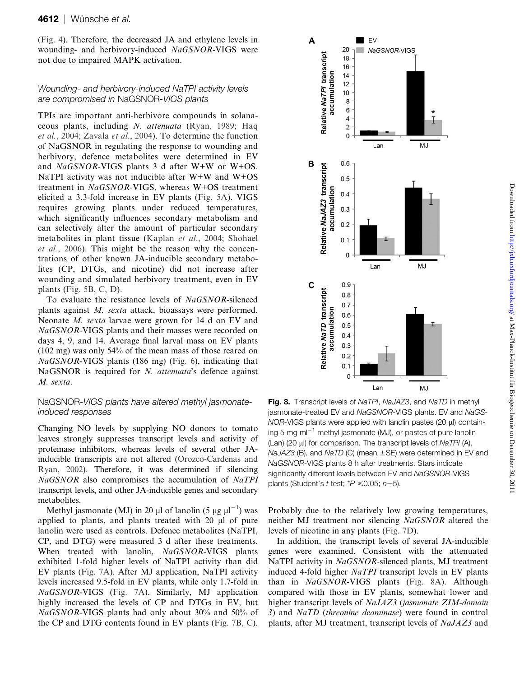(Fig. 4). Therefore, the decreased JA and ethylene levels in wounding- and herbivory-induced NaGSNOR-VIGS were not due to impaired MAPK activation.

## Wounding- and herbivory-induced NaTPI activity levels are compromised in NaGSNOR-VIGS plants

TPIs are important anti-herbivore compounds in solanaceous plants, including N. attenuata [\(Ryan, 1989;](#page-11-0) [Haq](#page-10-0) et al.[, 2004;](#page-10-0) [Zavala](#page-11-0) et al., 2004). To determine the function of NaGSNOR in regulating the response to wounding and herbivory, defence metabolites were determined in EV and NaGSNOR-VIGS plants 3 d after W+W or W+OS. NaTPI activity was not inducible after W+W and W+OS treatment in NaGSNOR-VIGS, whereas W+OS treatment elicited a 3.3-fold increase in EV plants (Fig. 5A). VIGS requires growing plants under reduced temperatures, which significantly influences secondary metabolism and can selectively alter the amount of particular secondary metabolites in plant tissue [\(Kaplan](#page-10-0) et al., 2004; [Shohael](#page-11-0) et al.[, 2006\)](#page-11-0). This might be the reason why the concentrations of other known JA-inducible secondary metabolites (CP, DTGs, and nicotine) did not increase after wounding and simulated herbivory treatment, even in EV plants (Fig. 5B, C, D).

To evaluate the resistance levels of NaGSNOR-silenced plants against M. sexta attack, bioassays were performed. Neonate *M. sexta* larvae were grown for 14 d on EV and NaGSNOR-VIGS plants and their masses were recorded on days 4, 9, and 14. Average final larval mass on EV plants (102 mg) was only 54% of the mean mass of those reared on NaGSNOR-VIGS plants (186 mg) (Fig. 6), indicating that NaGSNOR is required for N. attenuata's defence against M. sexta.

## NaGSNOR-VIGS plants have altered methyl jasmonateinduced responses

Changing NO levels by supplying NO donors to tomato leaves strongly suppresses transcript levels and activity of proteinase inhibitors, whereas levels of several other JAinducible transcripts are not altered ([Orozco-Cardenas and](#page-11-0) [Ryan, 2002\)](#page-11-0). Therefore, it was determined if silencing NaGSNOR also compromises the accumulation of NaTPI transcript levels, and other JA-inducible genes and secondary metabolites.

Methyl jasmonate (MJ) in 20 µl of lanolin (5 µg  $\mu$ l<sup>-1</sup>) was applied to plants, and plants treated with 20 µl of pure lanolin were used as controls. Defence metabolites (NaTPI, CP, and DTG) were measured 3 d after these treatments. When treated with lanolin, NaGSNOR-VIGS plants exhibited 1-fold higher levels of NaTPI activity than did EV plants (Fig. 7A). After MJ application, NaTPI activity levels increased 9.5-fold in EV plants, while only 1.7-fold in NaGSNOR-VIGS (Fig. 7A). Similarly, MJ application highly increased the levels of CP and DTGs in EV, but NaGSNOR-VIGS plants had only about 30% and 50% of the CP and DTG contents found in EV plants (Fig. 7B, C).



Fig. 8. Transcript levels of NaTPI, NaJAZ3, and NaTD in methyl jasmonate-treated EV and NaGSNOR-VIGS plants. EV and NaGS- $NOR-VIGS$  plants were applied with lanolin pastes (20  $\mu$ l) containing 5 mg  $ml^{-1}$  methyl jasmonate (MJ), or pastes of pure lanolin  $(Lan)$  (20 µl) for comparison. The transcript levels of NaTPI (A),  $NaJAZ3$  (B), and  $NaTD$  (C) (mean  $\pm$ SE) were determined in EV and NaGSNOR-VIGS plants 8 h after treatments. Stars indicate significantly different levels between EV and NaGSNOR-VIGS plants (Student's t test;  $*P \le 0.05$ ;  $n=5$ ).

Probably due to the relatively low growing temperatures, neither MJ treatment nor silencing NaGSNOR altered the levels of nicotine in any plants (Fig. 7D).

In addition, the transcript levels of several JA-inducible genes were examined. Consistent with the attenuated NaTPI activity in NaGSNOR-silenced plants, MJ treatment induced 4-fold higher NaTPI transcript levels in EV plants than in NaGSNOR-VIGS plants (Fig. 8A). Although compared with those in EV plants, somewhat lower and higher transcript levels of NaJAZ3 (jasmonate ZIM-domain 3) and NaTD (threonine deaminase) were found in control plants, after MJ treatment, transcript levels of NaJAZ3 and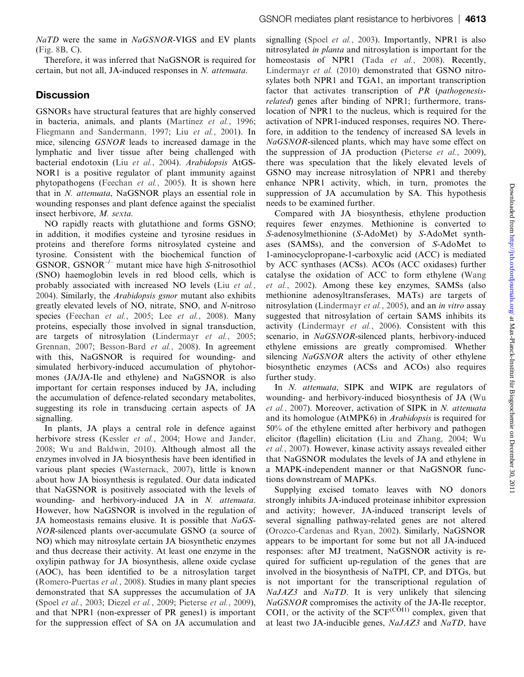Therefore, it was inferred that NaGSNOR is required for certain, but not all, JA-induced responses in N. attenuata.

# **Discussion**

GSNORs have structural features that are highly conserved in bacteria, animals, and plants (Martínez et al., 1996; [Fliegmann and Sandermann, 1997](#page-9-0); Liu et al.[, 2001\)](#page-10-0). In mice, silencing GSNOR leads to increased damage in the lymphatic and liver tissue after being challenged with bacterial endotoxin (Liu et al.[, 2004\)](#page-10-0). Arabidopsis AtGS-NOR1 is a positive regulator of plant immunity against phytopathogens ([Feechan](#page-9-0) et al., 2005). It is shown here that in N. attenuata, NaGSNOR plays an essential role in wounding responses and plant defence against the specialist insect herbivore, M. sexta.

NO rapidly reacts with glutathione and forms GSNO; in addition, it modifies cysteine and tyrosine residues in proteins and therefore forms nitrosylated cysteine and tyrosine. Consistent with the biochemical function of GSNOR,  $GSNOR^{-/-}$  mutant mice have high S-nitrosothiol (SNO) haemoglobin levels in red blood cells, which is probably associated with increased NO levels (Liu [et al.](#page-10-0), [2004\)](#page-10-0). Similarly, the Arabidopsis gsnor mutant also exhibits greatly elevated levels of NO, nitrate, SNO, and N-nitroso species ([Feechan](#page-9-0) et al., 2005; Lee et al.[, 2008](#page-10-0)). Many proteins, especially those involved in signal transduction, are targets of nitrosylation [\(Lindermayr](#page-10-0) et al., 2005; [Grennan, 2007](#page-9-0); [Besson-Bard](#page-9-0) et al., 2008). In agreement with this, NaGSNOR is required for wounding- and simulated herbivory-induced accumulation of phytohormones (JA/JA-Ile and ethylene) and NaGSNOR is also important for certain responses induced by JA, including the accumulation of defence-related secondary metabolites, suggesting its role in transducing certain aspects of JA signalling.

In plants, JA plays a central role in defence against herbivore stress ([Kessler](#page-10-0) et al., 2004; [Howe and Jander,](#page-10-0) [2008;](#page-10-0) [Wu and Baldwin, 2010\)](#page-11-0). Although almost all the enzymes involved in JA biosynthesis have been identified in various plant species [\(Wasternack, 2007](#page-11-0)), little is known about how JA biosynthesis is regulated. Our data indicated that NaGSNOR is positively associated with the levels of wounding- and herbivory-induced JA in N. attenuata. However, how NaGSNOR is involved in the regulation of JA homeostasis remains elusive. It is possible that NaGS-NOR-silenced plants over-accumulate GSNO (a source of NO) which may nitrosylate certain JA biosynthetic enzymes and thus decrease their activity. At least one enzyme in the oxylipin pathway for JA biosynthesis, allene oxide cyclase (AOC), has been identified to be a nitrosylation target [\(Romero-Puertas](#page-11-0) et al., 2008). Studies in many plant species demonstrated that SA suppresses the accumulation of JA (Spoel et al.[, 2003;](#page-11-0) [Diezel](#page-9-0) et al., 2009; [Pieterse](#page-11-0) et al., 2009), and that NPR1 (non-expresser of PR genes1) is important for the suppression effect of SA on JA accumulation and

signalling (Spoel *et al.*[, 2003](#page-11-0)). Importantly, NPR1 is also nitrosylated in planta and nitrosylation is important for the homeostasis of NPR1 (Tada et al.[, 2008\)](#page-11-0). Recently, [Lindermayr](#page-10-0) et al. (2010) demonstrated that GSNO nitrosylates both NPR1 and TGA1, an important transcription factor that activates transcription of PR (pathogenesisrelated) genes after binding of NPR1; furthermore, translocation of NPR1 to the nucleus, which is required for the activation of NPR1-induced responses, requires NO. Therefore, in addition to the tendency of increased SA levels in NaGSNOR-silenced plants, which may have some effect on the suppression of JA production [\(Pieterse](#page-11-0) et al., 2009), there was speculation that the likely elevated levels of GSNO may increase nitrosylation of NPR1 and thereby enhance NPR1 activity, which, in turn, promotes the suppression of JA accumulation by SA. This hypothesis needs to be examined further.

Compared with JA biosynthesis, ethylene production requires fewer enzymes. Methionine is converted to S-adenosylmethionine (S-AdoMet) by S-AdoMet synthases (SAMSs), and the conversion of S-AdoMet to 1-aminocyclopropane-1-carboxylic acid (ACC) is mediated by ACC synthases (ACSs). ACOs (ACC oxidases) further catalyse the oxidation of ACC to form ethylene [\(Wang](#page-11-0) et al.[, 2002](#page-11-0)). Among these key enzymes, SAMSs (also methionine adenosyltransferases, MATs) are targets of nitrosylation ([Lindermayr](#page-10-0) et al., 2005), and an in vitro assay suggested that nitrosylation of certain SAMS inhibits its activity [\(Lindermayr](#page-10-0) et al., 2006). Consistent with this scenario, in NaGSNOR-silenced plants, herbivory-induced ethylene emissions are greatly compromised. Whether silencing NaGSNOR alters the activity of other ethylene biosynthetic enzymes (ACSs and ACOs) also requires further study.

In N. attenuata, SIPK and WIPK are regulators of wounding- and herbivory-induced biosynthesis of JA [\(Wu](#page-11-0) et al.[, 2007\)](#page-11-0). Moreover, activation of SIPK in N. attenuata and its homologue (AtMPK6) in Arabidopsis is required for 50% of the ethylene emitted after herbivory and pathogen elicitor (flagellin) elicitation [\(Liu and Zhang, 2004;](#page-10-0) [Wu](#page-11-0) et al.[, 2007\)](#page-11-0). However, kinase activity assays revealed either that NaGSNOR modulates the levels of JA and ethylene in a MAPK-independent manner or that NaGSNOR functions downstream of MAPKs.

Supplying excised tomato leaves with NO donors strongly inhibits JA-induced proteinase inhibitor expression and activity; however, JA-induced transcript levels of several signalling pathway-related genes are not altered [\(Orozco-Cardenas and Ryan, 2002\)](#page-11-0). Similarly, NaGSNOR appears to be important for some but not all JA-induced responses: after MJ treatment, NaGSNOR activity is required for sufficient up-regulation of the genes that are involved in the biosynthesis of NaTPI, CP, and DTGs, but is not important for the transcriptional regulation of NaJAZ3 and NaTD. It is very unlikely that silencing NaGSNOR compromises the activity of the JA-Ile receptor, COI1, or the activity of the  $SCF<sup>(COII)</sup>$  complex, given that at least two JA-inducible genes, NaJAZ3 and NaTD, have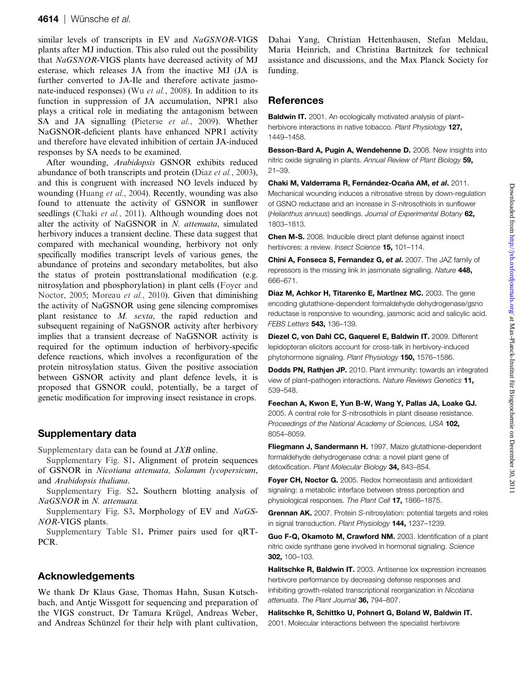#### <span id="page-9-0"></span>4614 | Wünsche et al.

similar levels of transcripts in EV and NaGSNOR-VIGS plants after MJ induction. This also ruled out the possibility that NaGSNOR-VIGS plants have decreased activity of MJ esterase, which releases JA from the inactive MJ (JA is further converted to JA-Ile and therefore activate jasmo-nate-induced responses) (Wu et al.[, 2008\)](#page-11-0). In addition to its function in suppression of JA accumulation, NPR1 also plays a critical role in mediating the antagonism between SA and JA signalling [\(Pieterse](#page-11-0) et al., 2009). Whether NaGSNOR-deficient plants have enhanced NPR1 activity and therefore have elevated inhibition of certain JA-induced responses by SA needs to be examined.

After wounding, Arabidopsis GSNOR exhibits reduced abundance of both transcripts and protein (Diaz et al., 2003), and this is congruent with increased NO levels induced by wounding [\(Huang](#page-10-0) et al., 2004). Recently, wounding was also found to attenuate the activity of GSNOR in sunflower seedlings (Chaki et al., 2011). Although wounding does not alter the activity of NaGSNOR in N. attenuata, simulated herbivory induces a transient decline. These data suggest that compared with mechanical wounding, herbivory not only specifically modifies transcript levels of various genes, the abundance of proteins and secondary metabolites, but also the status of protein posttranslational modification (e.g. nitrosylation and phosphorylation) in plant cells (Foyer and Noctor, 2005; [Moreau](#page-10-0) *et al.*, 2010). Given that diminishing the activity of NaGSNOR using gene silencing compromises plant resistance to M. sexta, the rapid reduction and subsequent regaining of NaGSNOR activity after herbivory implies that a transient decrease of NaGSNOR activity is required for the optimum induction of herbivory-specific defence reactions, which involves a reconfiguration of the protein nitrosylation status. Given the positive association between GSNOR activity and plant defence levels, it is proposed that GSNOR could, potentially, be a target of genetic modification for improving insect resistance in crops.

## Supplementary data

[Supplementary data](http://jxb.oxfordjournals.org/cgi/content/full/err171/DC1) can be found at JXB online.

[Supplementary Fig. S1](http://jxb.oxfordjournals.org/cgi/content/full/err171/DC1). Alignment of protein sequences of GSNOR in Nicotiana attenuata, Solanum lycopersicum, and Arabidopsis thaliana.

[Supplementary Fig. S2](http://jxb.oxfordjournals.org/cgi/content/full/err171/DC1). Southern blotting analysis of NaGSNOR in N. attenuata.

[Supplementary Fig. S3](http://jxb.oxfordjournals.org/cgi/content/full/err171/DC1). Morphology of EV and NaGS-NOR-VIGS plants.

[Supplementary Table S1](http://jxb.oxfordjournals.org/cgi/content/full/err171/DC1). Primer pairs used for qRT-PCR.

#### Acknowledgements

We thank Dr Klaus Gase, Thomas Hahn, Susan Kutschbach, and Antje Wissgott for sequencing and preparation of the VIGS construct, Dr Tamara Krügel, Andreas Weber, and Andreas Schünzel for their help with plant cultivation, Dahai Yang, Christian Hettenhausen, Stefan Meldau, Maria Heinrich, and Christina Bartnitzek for technical assistance and discussions, and the Max Planck Society for funding.

## References

Baldwin IT. 2001. An ecologically motivated analysis of plantherbivore interactions in native tobacco. Plant Physiology 127, 1449–1458.

Besson-Bard A, Pugin A, Wendehenne D. 2008. New insights into nitric oxide signaling in plants. Annual Review of Plant Biology 59, 21–39.

Chaki M, Valderrama R, Fernández-Ocaña AM, et al. 2011. Mechanical wounding induces a nitrosative stress by down-regulation of GSNO reductase and an increase in S-nitrosothiols in sunflower (Helianthus annuus) seedlings. Journal of Experimental Botany 62, 1803–1813.

Chen M-S. 2008. Inducible direct plant defense against insect herbivores: a review. Insect Science 15, 101-114.

Chini A, Fonseca S, Fernandez G, et al. 2007. The JAZ family of repressors is the missing link in jasmonate signalling. Nature 448, 666–671.

Diaz M, Achkor H, Titarenko E, MartInez MC. 2003. The gene encoding glutathione-dependent formaldehyde dehydrogenase/gsno reductase is responsive to wounding, jasmonic acid and salicylic acid. FEBS Letters **543,** 136-139.

Diezel C, von Dahl CC, Gaquerel E, Baldwin IT. 2009. Different lepidopteran elicitors account for cross-talk in herbivory-induced phytohormone signaling. Plant Physiology 150, 1576-1586.

Dodds PN, Rathjen JP. 2010. Plant immunity: towards an integrated view of plant–pathogen interactions. Nature Reviews Genetics 11, 539–548.

Feechan A, Kwon E, Yun B-W, Wang Y, Pallas JA, Loake GJ. 2005. A central role for S-nitrosothiols in plant disease resistance. Proceedings of the National Academy of Sciences, USA 102, 8054–8059.

Fliegmann J, Sandermann H. 1997. Maize glutathione-dependent formaldehyde dehydrogenase cdna: a novel plant gene of detoxification. Plant Molecular Biology 34, 843-854.

Foyer CH, Noctor G. 2005. Redox homeostasis and antioxidant signaling: a metabolic interface between stress perception and physiological responses. The Plant Cell 17, 1866–1875.

Grennan AK. 2007. Protein S-nitrosylation: potential targets and roles in signal transduction. Plant Physiology 144, 1237-1239.

Guo F-Q, Okamoto M, Crawford NM. 2003. Identification of a plant nitric oxide synthase gene involved in hormonal signaling. Science 302, 100–103.

Halitschke R, Baldwin IT. 2003. Antisense lox expression increases herbivore performance by decreasing defense responses and inhibiting growth-related transcriptional reorganization in Nicotiana attenuata. The Plant Journal 36. 794-807.

Halitschke R, Schittko U, Pohnert G, Boland W, Baldwin IT. 2001. Molecular interactions between the specialist herbivore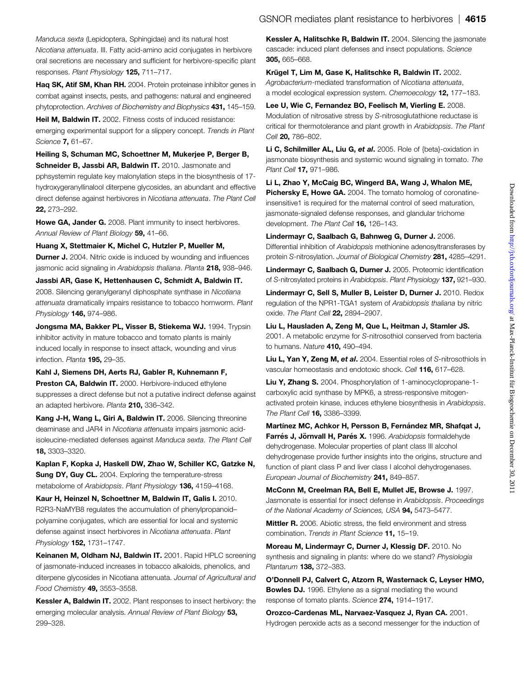<span id="page-10-0"></span>Manduca sexta (Lepidoptera, Sphingidae) and its natural host Nicotiana attenuata. III. Fatty acid-amino acid conjugates in herbivore oral secretions are necessary and sufficient for herbivore-specific plant responses. Plant Physiology 125, 711–717.

Haq SK, Atif SM, Khan RH. 2004. Protein proteinase inhibitor genes in combat against insects, pests, and pathogens: natural and engineered phytoprotection. Archives of Biochemistry and Biophysics 431, 145-159.

**Heil M. Baldwin IT.** 2002. Fitness costs of induced resistance: emerging experimental support for a slippery concept. Trends in Plant Science 7, 61–67.

Heiling S, Schuman MC, Schoettner M, Mukerjee P, Berger B, Schneider B, Jassbi AR, Baldwin IT. 2010. Jasmonate and pphsystemin regulate key malonylation steps in the biosynthesis of 17 hydroxygeranyllinalool diterpene glycosides, an abundant and effective direct defense against herbivores in Nicotiana attenuata. The Plant Cell 22, 273–292.

Howe GA, Jander G. 2008. Plant immunity to insect herbivores. Annual Review of Plant Biology 59, 41-66.

Huang X, Stettmaier K, Michel C, Hutzler P, Mueller M, **Durner J.** 2004. Nitric oxide is induced by wounding and influences jasmonic acid signaling in Arabidopsis thaliana. Planta 218, 938-946.

Jassbi AR, Gase K, Hettenhausen C, Schmidt A, Baldwin IT. 2008. Silencing geranylgeranyl diphosphate synthase in Nicotiana attenuata dramatically impairs resistance to tobacco hornworm. Plant Physiology **146,** 974-986.

Jongsma MA, Bakker PL, Visser B, Stiekema WJ. 1994. Trypsin inhibitor activity in mature tobacco and tomato plants is mainly induced locally in response to insect attack, wounding and virus infection. Planta 195. 29-35.

Kahl J, Siemens DH, Aerts RJ, Gabler R, Kuhnemann F, Preston CA, Baldwin IT. 2000. Herbivore-induced ethylene suppresses a direct defense but not a putative indirect defense against an adapted herbivore. Planta 210, 336-342.

Kang J-H, Wang L, Giri A, Baldwin IT. 2006. Silencing threonine deaminase and JAR4 in Nicotiana attenuata impairs jasmonic acidisoleucine-mediated defenses against Manduca sexta. The Plant Cell 18, 3303–3320.

Kaplan F, Kopka J, Haskell DW, Zhao W, Schiller KC, Gatzke N, Sung DY, Guy CL. 2004. Exploring the temperature-stress metabolome of Arabidopsis. Plant Physiology 136, 4159–4168.

Kaur H, Heinzel N, Schoettner M, Baldwin IT, Galis I. 2010. R2R3-NaMYB8 regulates the accumulation of phenylpropanoid– polyamine conjugates, which are essential for local and systemic defense against insect herbivores in Nicotiana attenuata. Plant Physiology **152,** 1731-1747.

Keinanen M, Oldham NJ, Baldwin IT. 2001. Rapid HPLC screening of jasmonate-induced increases in tobacco alkaloids, phenolics, and diterpene glycosides in Nicotiana attenuata. Journal of Agricultural and Food Chemistry 49, 3553–3558.

Kessler A, Baldwin IT. 2002. Plant responses to insect herbivory: the emerging molecular analysis. Annual Review of Plant Biology 53, 299–328.

Kessler A, Halitschke R, Baldwin IT. 2004. Silencing the jasmonate cascade: induced plant defenses and insect populations. Science 305, 665–668.

Krügel T, Lim M, Gase K, Halitschke R, Baldwin IT. 2002. Agrobacterium-mediated transformation of Nicotiana attenuata, a model ecological expression system. Chemoecology 12, 177–183.

Lee U, Wie C, Fernandez BO, Feelisch M, Vierling E. 2008. Modulation of nitrosative stress by S-nitrosoglutathione reductase is critical for thermotolerance and plant growth in Arabidopsis. The Plant Cell **20, 786-802.** 

Li C, Schilmiller AL, Liu G, et al. 2005. Role of {beta}-oxidation in jasmonate biosynthesis and systemic wound signaling in tomato. The Plant Cell **17,** 971-986.

Li L, Zhao Y, McCaig BC, Wingerd BA, Wang J, Whalon ME, Pichersky E, Howe GA. 2004. The tomato homolog of coronatineinsensitive1 is required for the maternal control of seed maturation, jasmonate-signaled defense responses, and glandular trichome development. The Plant Cell 16, 126-143.

Lindermayr C, Saalbach G, Bahnweg G, Durner J. 2006. Differential inhibition of Arabidopsis methionine adenosyltransferases by protein S-nitrosylation. Journal of Biological Chemistry 281, 4285-4291.

Lindermayr C, Saalbach G, Durner J. 2005. Proteomic identification of S-nitrosylated proteins in Arabidopsis. Plant Physiology 137, 921–930.

Lindermayr C, Sell S, Muller B, Leister D, Durner J. 2010. Redox regulation of the NPR1-TGA1 system of Arabidopsis thaliana by nitric oxide. The Plant Cell **22,** 2894-2907.

Liu L, Hausladen A, Zeng M, Que L, Heitman J, Stamler JS. 2001. A metabolic enzyme for S-nitrosothiol conserved from bacteria to humans. Nature 410, 490–494.

Liu L, Yan Y, Zeng M, et al. 2004. Essential roles of S-nitrosothiols in vascular homeostasis and endotoxic shock. Cell 116, 617–628.

Liu Y, Zhang S. 2004. Phosphorylation of 1-aminocyclopropane-1 carboxylic acid synthase by MPK6, a stress-responsive mitogenactivated protein kinase, induces ethylene biosynthesis in Arabidopsis. The Plant Cell **16,** 3386-3399.

Martínez MC, Achkor H, Persson B, Fernández MR, Shafqat J, Farrés J, Jörnvall H, Parés X. 1996. Arabidopsis formaldehyde dehydrogenase. Molecular properties of plant class III alcohol dehydrogenase provide further insights into the origins, structure and function of plant class P and liver class I alcohol dehydrogenases. European Journal of Biochemistry 241, 849–857.

McConn M, Creelman RA, Bell E, Mullet JE, Browse J. 1997. Jasmonate is essential for insect defense in Arabidopsis. Proceedings of the National Academy of Sciences, USA 94, 5473-5477.

**Mittler R.** 2006. Abiotic stress, the field environment and stress combination. Trends in Plant Science 11, 15–19.

Moreau M, Lindermayr C, Durner J, Klessig DF. 2010. No synthesis and signaling in plants: where do we stand? Physiologia Plantarum 138, 372–383.

O'Donnell PJ, Calvert C, Atzorn R, Wasternack C, Leyser HMO, **Bowles DJ.** 1996. Ethylene as a signal mediating the wound response of tomato plants. Science 274, 1914–1917.

Orozco-Cardenas ML, Narvaez-Vasquez J, Ryan CA. 2001. Hydrogen peroxide acts as a second messenger for the induction of